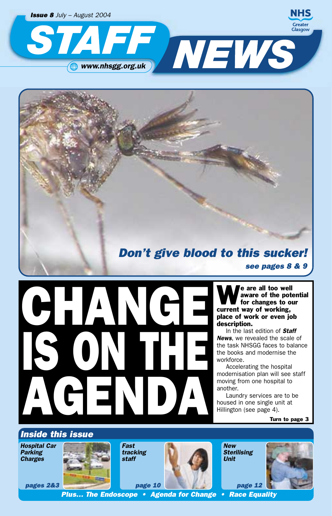

## *Don't give blood to this sucker! see pages 8 & 9*

We are all too well<br>aware of the pot aware of the potential for changes to our current way of working, place of work or even job description.

In the last edition of *Staff News*, we revealed the scale of the task NHSGG faces to balance the books and modernise the workforce.

Accelerating the hospital modernisation plan will see staff moving from one hospital to another.

Laundry services are to be housed in one single unit at Hillington (see page 4).

Turn to page 3

## *Inside this issue*

*Hospital Car Parking Charges*



*Fast tracking staff*

CHANCE

IS ON THE

T N



*New Sterilising Unit*

*page 12*



*Plus… The Endoscope • Agenda for Change • Race Equality*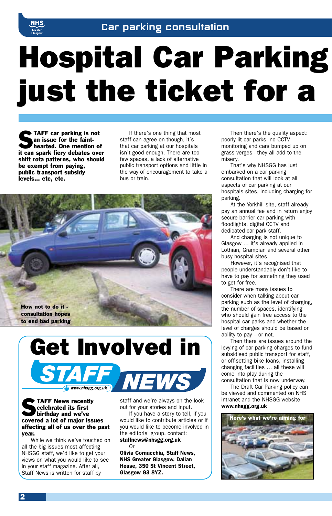

# Hospital Car Parking just the ticket for a

 $\blacktriangleright$  TAFF car parking is not an issue for the fainthearted. One mention of it can spark fiery debates over shift rota patterns, who should be exempt from paying, public transport subsidy levels… etc, etc.

If there's one thing that most staff can agree on though, it's that car parking at our hospitals isn't good enough. There are too few spaces, a lack of alternative public transport options and little in the way of encouragement to take a bus or train.





### **STAFF News recently**<br>
celebrated its first<br>
birthday and we've celebrated its first covered a lot of major issues affecting all of us over the past year.

While we think we've touched on all the big issues most affecting NHSGG staff, we'd like to get your views on what you would like to see in your staff magazine. After all, Staff News is written for staff by

staff and we're always on the look out for your stories and input.

If you have a story to tell, if you would like to contribute articles or if you would like to become involved in the editorial group, contact: staffnews@nhsgg.org.uk

Or Olivia Cornacchia, Staff News, NHS Greater Glasgow, Dalian House, 350 St Vincent Street, Glasgow G3 8YZ.

Then there's the quality aspect: poorly lit car parks, no CCTV monitoring and cars bumped up on grass verges - they all add to the misery.

That's why NHSGG has just embarked on a car parking consultation that will look at all aspects of car parking at our hospitals sites, including charging for parking.

At the Yorkhill site, staff already pay an annual fee and in return enjoy secure barrier car parking with floodlights, digital CCTV and dedicated car park staff.

And charging is not unique to Glasgow … it's already applied in Lothian, Grampian and several other busy hospital sites.

However, it's recognised that people understandably don't like to have to pay for something they used to get for free.

There are many issues to consider when talking about car parking such as the level of charging, the number of spaces, identifying who should gain free access to the hospital car parks and whether the level of charges should be based on ability to pay – or not.

Then there are issues around the levying of car parking charges to fund subsidised public transport for staff, or off-setting bike loans, installing changing facilities … all these will come into play during the consultation that is now underway.

The Draft Car Parking policy can be viewed and commented on NHS intranet and the NHSGG website www.nhsgg.org.uk

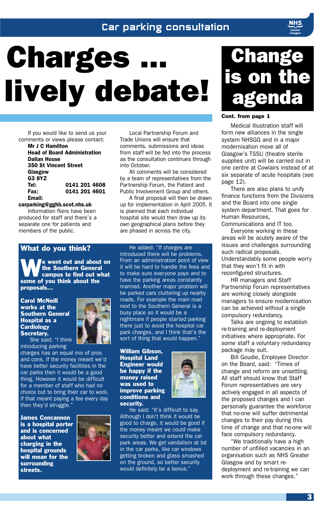## Car parking consultation

# **Charges** lively debate!

If you would like to send us your comments or views please contact:

Mr J C Hamilton Head of Board Administration Dalian House 350 St Vincent Street Glasgow G3 8YZ 0141 201 4608 Fax: 0141 201 4601 Email:

carparking@gghb.scot.nhs.uk

Information fliers have been produced for staff and there's a separate one for patients and members of the public.

What do you think?

We went out and about on<br>the Southern General<br>campus to find out what the Southern General some of you think about the proposals...

Carol McNeill works at the Southern General Hospital as a **Cardiology** Secretary. She said: "I think



introducing parking charges has an equal mix of pros and cons. If the money meant we'd have better security facilities in the car parks then it would be a good thing. However it would be difficult for a member of staff who had no choice but to bring their car to work. If that meant paying a fee every day then they'd struggle."

James Concannon is a hospital porter and is concerned about what charging in the hospital grounds will mean for the surrounding streets.



Local Partnership Forum and Trade Unions will ensure that comments, submissions and ideas from staff will be fed into the process as the consultation continues through into October.

All comments will be considered by a team of representatives from the Partnership Forum, the Patient and Public Involvement Group and others.

A final proposal will then be drawn up for implementation in April 2005. It is planned that each individual hospital site would then draw up its own geographical plans before they are phased in across the city.

introduced there will be problems. From an administration point of view it will be hard to handle the fees and to make sure everyone pays and to have the parking areas constantly manned. Another major problem will be parked cars cluttering up nearby roads. For example the main road next to the Southern General is a busy place so it would be a nightmare if people started parking there just to avoid the hospital car park charges, and I think that's the sort of thing that would happen."

William Gibson, Hospital Land Engineer would be happy if the money raised was used to improve parking conditions and security.



He said: "It's difficult to say. Although I don't think it would be good to charge, it would be good if the money meant we could make security better and extend the car park areas. We get vandalism at lot in the car parks, like car windows getting broken and glass smashed on the ground, so better security would definitely be a bonus.'



#### Cont. from page 1

Medical Illustration staff will form new alliances in the single system NHSGG and in a major modernisation move all of Glasgow's TSSU (theatre sterile supplies unit) will be carried out in one centre at Cowlairs instead of at six separate of acute hospitals (see page 12).

There are also plans to unify finance functions from the Divisions and the Board into one single system department. That goes for Human Resources, Communications and IT too.

Everyone working in these areas will be acutely aware of the issues and challenges surrounding such radical proposals. Understandably some people worry that they won't fit in with reconfigured structures.

HR managers and Staff Partnership Forum representatives are working closely alongside managers to ensure modernisation can be achieved without a single compulsory redundancy.

Talks are ongoing to establish re-training and re-deployment initiatives where appropriate. For some staff a voluntary redundancy package may suit.

Bill Goudie, Employee Director on the Board, said: "Times of change and reform are unsettling. All staff should know that Staff Forum representatives are very actively engaged in all aspects of the proposed changes and I can personally guarantee the workforce that no-one will suffer detrimental changes to their pay during this time of change and that no-one will face compulsory redundancy.

"We traditionally have a high number of unfilled vacancies in an organisation such as NHS Greater Glasgow and by smart redeployment and re-training we can work through these changes."

## He added: "If charges are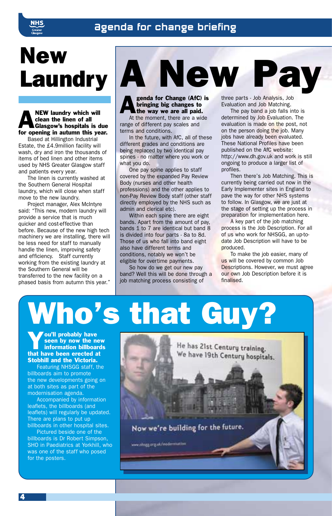## Agenda for change briefing



## New Laundry **A New**

#### NEW laundry which will<br>clean the linen of all<br>Glasgow's hospitals is d clean the linen of all Glasgow's hospitals is due for opening in autumn this year.

Based at Hillington Industrial Estate, the £4.9million facility will wash, dry and iron the thousands of items of bed linen and other items used by NHS Greater Glasgow staff and patients every year.

The linen is currently washed at the Southern General Hospital laundry, which will close when staff move to the new laundry.

Project manager, Alex McIntyre said: "This new, modern laundry will provide a service that is much quicker and cost-effective than before. Because of the new high tech machinery we are installing, there will be less need for staff to manually handle the linen, improving safety and efficiency. Staff currently working from the existing laundry at the Southern General will be transferred to the new facility on a phased basis from autumn this year."

genda for Change (AfC) is bringing big changes to the way we are all paid.

At the moment, there are a wide range of different pay scales and terms and conditions.

In the future, with AfC, all of these different grades and conditions are being replaced by two identical pay spines - no matter where you work or what you do.

One pay spine applies to staff covered by the expanded Pay Review Body (nurses and other health professions) and the other applies to non-Pay Review Body staff (other staff directly employed by the NHS such as admin and clerical etc).

Within each spine there are eight bands. Apart from the amount of pay, bands 1 to 7 are identical but band 8 is divided into four parts - 8a to 8d. Those of us who fall into band eight also have different terms and conditions, notably we won't be eligible for overtime payments.

So how do we get our new pay band? Well this will be done through a job matching process consisting of

three parts - Job Analysis, Job Evaluation and Job Matching.

The pay band a job falls into is determined by Job Evaluation. The evaluation is made on the post, not on the person doing the job. Many jobs have already been evaluated. These National Profiles have been published on the AfC website: http://www.dh.gov.uk and work is still ongoing to produce a larger list of profiles.

Then there's Job Matching. This is currently being carried out now in the Early Implementer sites in England to pave the way for other NHS systems to follow. In Glasgow, we are just at the stage of setting up the process in preparation for implementation here.

A key part of the job matching process is the Job Description. For all of us who work for NHSGG, an up-todate Job Description will have to be produced.

To make the job easier, many of us will be covered by common Job Descriptions. However, we must agree our own Job Description before it is finalised.

# Who's that Guy?

ou'll probably have<br>seen by now the ne<br>information billboar seen by now the new information billboards that have been erected at Stobhill and the Victoria.

Featuring NHSGG staff, the billboards aim to promote the new developments going on at both sites as part of the modernisation agenda.

Accompanied by information leaflets, the billboards (and leaflets) will regularly be updated. There are plans to put up billboards in other hospital sites.

Pictured beside one of the billboards is Dr Robert Simpson, SHO in Paediatrics at Yorkhill, who was one of the staff who posed for the posters.

He has 21st Century training. We have 19th Century hospitals. Now we're building for the future. www.chugg.org.uk/inddermatin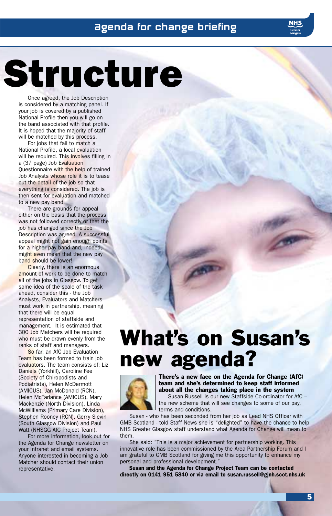# Structure

Once agreed, the Job Description is considered by a matching panel. If your job is covered by a published National Profile then you will go on the band associated with that profile. It is hoped that the majority of staff will be matched by this process.

For jobs that fail to match a National Profile, a local evaluation will be required. This involves filling in a (37 page) Job Evaluation Questionnaire with the help of trained Job Analysts whose role it is to tease out the detail of the job so that everything is considered. The job is then sent for evaluation and matched to a new pay band.

There are grounds for appeal either on the basis that the process was not followed correctly or that the job has changed since the Job Description was agreed. A successful appeal might not gain enough points for a higher pay band and, indeed, might even mean that the new pay band should be lower!

Clearly, there is an enormous amount of work to be done to match all of the jobs in Glasgow. To get some idea of the scale of the task ahead, consider this - the Job Analysts, Evaluators and Matchers must work in partnership, meaning that there will be equal representation of staffside and management. It is estimated that 300 Job Matchers will be required who must be drawn evenly from the ranks of staff and managers.

So far, an AfC Job Evaluation Team has been formed to train job evaluators. The team consists of: Liz Daniels (Yorkhill), Caroline Fee (Society of Chiropodists and Podiatrists), Helen McDermott (AMICUS), Jan McDonald (RCN), Helen McFarlance (AMICUS), Mary Mackenzie (North Division), Linda McWilliams (Primary Care Division), Stephen Rooney (RCN), Gerry Slevin (South Glasgow Division) and Paul Watt (NHSGG AfC Project Team).

For more information, look out for the Agenda for Change newsletter on your Intranet and email systems. Anyone interested in becoming a Job Matcher should contact their union representative.



There's a new face on the Agenda for Change (AfC) team and she's determined to keep staff informed about all the changes taking place in the system Susan Russell is our new Staffside Co-ordinator for AfC –

the new scheme that will see changes to some of our pay, terms and conditions.

Susan - who has been seconded from her job as Lead NHS Officer with GMB Scotland - told Staff News she is "delighted" to have the chance to help NHS Greater Glasgow staff understand what Agenda for Change will mean to them.

What's on Susan's

new agenda?

She said: "This is a major achievement for partnership working. This innovative role has been commissioned by the Area Partnership Forum and I am grateful to GMB Scotland for giving me this opportunity to enhance my personal and professional development."

Susan and the Agenda for Change Project Team can be contacted directly on 0141 951 5840 or via email to susan.russell@gjnh.scot.nhs.uk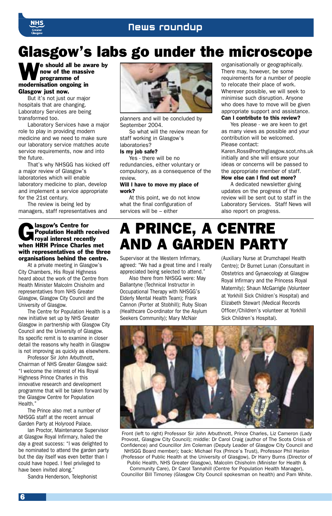## News roundup

## Glasgow's labs go under the microscope

We should all be aware by<br>now of the massive<br>programme of now of the massive programme of modernisation ongoing in Glasgow just now.

But it's not just our major hospitals that are changing. Laboratory Services are being transformed too.

Laboratory Services have a major role to play in providing modern medicine and we need to make sure our laboratory service matches acute service requirements, now and into the future.

That's why NHSGG has kicked off a major review of Glasgow's laboratories which will enable laboratory medicine to plan, develop and implement a service appropriate for the 21st century.

The review is being led by managers, staff representatives and

#### **Contract Separate Separate Separate Separate Separate Separate Separate Separate Separate Separate Separate Separate Separate Separate Separate Separate Separate Separate Separate Separate Separate Separate Separate Separ** Population Health received royal interest recently when HRH Prince Charles met with representatives of the three organisations behind the centre.

At a private meeting in Glasgow's City Chambers, His Royal Highness heard about the work of the Centre from Health Minister Malcolm Chisholm and representatives from NHS Greater Glasgow, Glasgow City Council and the University of Glasgow.

The Centre for Population Health is a new initiative set up by NHS Greater Glasgow in partnership with Glasgow City Council and the University of Glasgow. Its specific remit is to examine in closer detail the reasons why health in Glasgow is not improving as quickly as elsewhere.

Professor Sir John Arbuthnott, Chairman of NHS Greater Glasgow said: "I welcome the interest of His Royal Highness Prince Charles in this innovative research and development programme that will be taken forward by the Glasgow Centre for Population Health."

The Prince also met a number of NHSGG staff at the recent annual Garden Party at Holyrood Palace.

Ian Proctor, Maintenance Supervisor at Glasgow Royal Infirmary, hailed the day a great success: "I was delighted to be nominated to attend the garden party but the day itself was even better than I could have hoped. I feel privileged to have been invited along."

Sandra Henderson, Telephonist



planners and will be concluded by September 2004.

So what will the review mean for staff working in Glasgow's laboratories?

#### Is my job safe?

Yes - there will be no redundancies, either voluntary or compulsory, as a consequence of the review.

#### Will I have to move my place of work?

At this point, we do not know what the final configuration of services will be – either

organisationally or geographically. There may, however, be some requirements for a number of people to relocate their place of work. Wherever possible, we will seek to minimise such disruption. Anyone who does have to move will be given appropriate support and assistance. Can I contribute to this review?

Yes please - we are keen to get as many views as possible and your contribution will be welcomed. Please contact:

Karen.Ross@northglasgow.scot.nhs.uk initially and she will ensure your ideas or concerns will be passed to the appropriate member of staff. How else can I find out more?

A dedicated newsletter giving updates on the progress of the review will be sent out to staff in the Laboratory Services. Staff News will also report on progress.

## A PRINCE, A CENTRE AND A GARDEN PARTY

Supervisor at the Western Infirmary, agreed: "We had a great time and I really appreciated being selected to attend."

Also there from NHSGG were: May Ballantyne (Technical Instructor in Occupational Therapy with NHSGG's Elderly Mental Health Team); Frank Cannon (Porter at Stobhill); Ruby Sloan (Healthcare Co-ordinator for the Asylum Seekers Community); Mary McNair

(Auxiliary Nurse at Drumchapel Health Centre); Dr Burnet Lunan (Consultant in Obstetrics and Gynaecology at Glasgow Royal Infirmary and the Princess Royal Maternity); Shaun McGarrigle (Volunteer at Yorkhill Sick Children's Hospital) and Elizabeth Stewart (Medical Records Officer/Children's volunteer at Yorkhill Sick Children's Hospital).



Front (left to right) Professor Sir John Arbuthnott, Prince Charles, Liz Cameron (Lady Provost, Glasgow City Council); middle: Dr Carol Craig (author of The Scots Crisis of Confidence) and Councillor Jim Coleman (Deputy Leader of Glasgow City Council and NHSGG Board member); back: Michael Fox (Prince's Trust), Professor Phil Hanlon

(Professor of Public Health at the University of Glasgow), Dr Harry Burns (Director of Public Health, NHS Greater Glasgow), Malcolm Chisholm (Minister for Health &

Community Care), Dr Carol Tannahill (Centre for Population Health Manager), Councillor Bill Timoney (Glasgow City Council spokesman on health) and Pam White.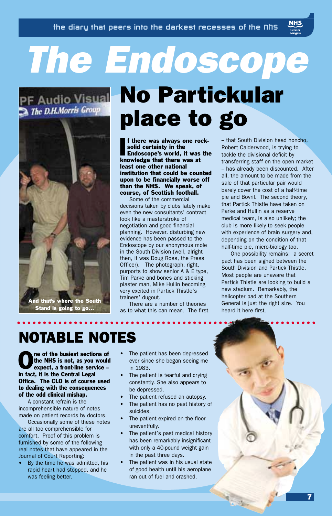# *The Endoscope*

## The D.H.Morris Group



Stand is going to go...

## PF Audio Visual No Partickular place to go

If there was always one ro<br>solid certainty in the<br>Endoscope's world, it was<br>knowledge that there was at f there was always one rocksolid certainty in the Endoscope's world, it was the least one other national institution that could be counted upon to be financially worse off than the NHS. We speak, of course, of Scottish football.

Some of the commercial decisions taken by clubs lately make even the new consultants' contract look like a masterstroke of negotiation and good financial planning. However, disturbing new evidence has been passed to the Endoscope by our anonymous mole in the South Division (well, alright then, it was Doug Ross, the Press Officer). The photograph, right, purports to show senior A & E type, Tim Parke and bones and sticking plaster man, Mike Hullin becoming very excited in Partick Thistle's trainers' dugout.

There are a number of theories as to what this can mean. The first – that South Division head honcho, Robert Calderwood, is trying to tackle the divisional deficit by transferring staff on the open market – has already been discounted. After all, the amount to be made from the sale of that particular pair would barely cover the cost of a half-time pie and Bovril. The second theory, that Partick Thistle have taken on Parke and Hullin as a reserve medical team, is also unlikely; the club is more likely to seek people with experience of brain surgery and, depending on the condition of that half-time pie, micro-biology too.

One possibility remains: a secret pact has been signed between the South Division and Partick Thistle. Most people are unaware that Partick Thistle are looking to build a new stadium. Remarkably, the helicopter pad at the Southern General is just the right size. You heard it here first.

## NOTABLE NOTES

The of the busiest sections of<br>the NHS is not, as you would<br>expect, a front-line service the NHS is not, as you would expect, a front-line service – in fact, it is the Central Legal Office. The CLO is of course used to dealing with the consequences of the odd clinical mishap.

A constant refrain is the incomprehensible nature of notes made on patient records by doctors.

Occasionally some of these notes are all too comprehensible for comfort. Proof of this problem is furnished by some of the following real notes that have appeared in the Journal of Court Reporting:

• By the time he was admitted, his rapid heart had stopped, and he was feeling better.

- The patient has been depressed ever since she began seeing me in 1983.
- The patient is tearful and crying constantly. She also appears to be depressed.
- The patient refused an autopsy.
- The patient has no past history of suicides.
- The patient expired on the floor uneventfully.
- The patient's past medical history has been remarkably insignificant with only a 40-pound weight gain in the past three days.
- The patient was in his usual state of good health until his aeroplane ran out of fuel and crashed.

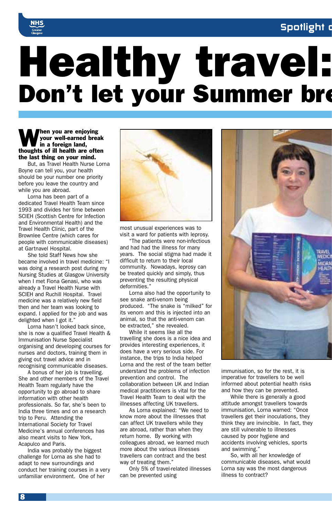## Spotlight o



# Healthy travel: Don't let your Summer bre

#### When you are enjoying<br>your well-earned break<br>in a foreign land, your well-earned break in a foreign land, thoughts of ill health are often the last thing on your mind.

But, as Travel Health Nurse Lorna Boyne can tell you, your health should be your number one priority before you leave the country and while you are abroad.

Lorna has been part of a dedicated Travel Health Team since 1993 and divides her time between SCIEH (Scottish Centre for Infection and Environmental Health) and the Travel Health Clinic, part of the Brownlee Centre (which cares for people with communicable diseases) at Gartnavel Hospital.

She told Staff News how she became involved in travel medicine: "I was doing a research post during my Nursing Studies at Glasgow University when I met Fiona Genasi, who was already a Travel Health Nurse with SCIEH and Ruchill Hospital. Travel medicine was a relatively new field then and her team was looking to expand. I applied for the job and was delighted when I got it."

Lorna hasn't looked back since, she is now a qualified Travel Health & Immunisation Nurse Specialist organising and developing courses for nurses and doctors, training them in giving out travel advice and in recognising communicable diseases.

A bonus of her job is travelling. She and other members of the Travel Health Team regularly have the opportunity to go abroad to share information with other health professionals. So far, she's been to India three times and on a research trip to Peru. Attending the International Society for Travel Medicine's annual conferences has also meant visits to New York, Acapulco and Paris.

India was probably the biggest challenge for Lorna as she had to adapt to new surroundings and conduct her training courses in a very unfamiliar environment. One of her



most unusual experiences was to visit a ward for patients with leprosy.

"The patients were non-infectious and had had the illness for many years. The social stigma had made it difficult to return to their local community. Nowadays, leprosy can be treated quickly and simply, thus preventing the resulting physical deformities."

Lorna also had the opportunity to see snake anti-venom being produced. "The snake is "milked" for its venom and this is injected into an animal, so that the anti-venom can be extracted," she revealed.

While it seems like all the travelling she does is a nice idea and provides interesting experiences, it does have a very serious side. For instance, the trips to India helped Lorna and the rest of the team better understand the problems of infection prevention and control. The collaboration between UK and Indian medical practitioners is vital for the Travel Health Team to deal with the illnesses affecting UK travellers.

As Lorna explained: "We need to know more about the illnesses that can affect UK travellers while they are abroad, rather than when they return home. By working with colleagues abroad, we learned much more about the various illnesses travellers can contract and the best way of treating them."

Only 5% of travel-related illnesses can be prevented using



immunisation, so for the rest, it is imperative for travellers to be well informed about potential health risks and how they can be prevented.

While there is generally a good attitude amongst travellers towards immunisation, Lorna warned: "Once travellers get their inoculations, they think they are invincible. In fact, they are still vulnerable to illnesses caused by poor hygiene and accidents involving vehicles, sports and swimming."

So, with all her knowledge of communicable diseases, what would Lorna say was the most dangerous illness to contract?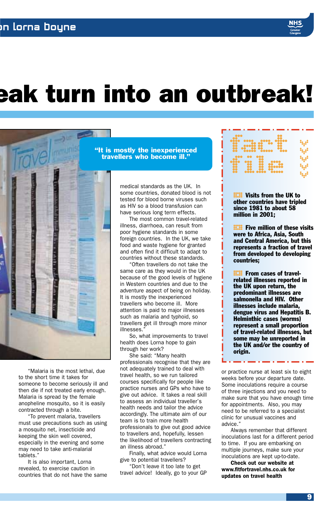## eak turn into an outbreak!



"Malaria is the most lethal, due to the short time it takes for someone to become seriously ill and then die if not treated early enough. Malaria is spread by the female anopheline mosquito, so it is easily contracted through a bite.

"To prevent malaria, travellers must use precautions such as using a mosquito net, insecticide and keeping the skin well covered, especially in the evening and some may need to take anti-malarial tablets."

It is also important, Lorna revealed, to exercise caution in countries that do not have the same

"It is mostly the inexperienced travellers who become ill."

> medical standards as the UK. In some countries, donated blood is not tested for blood borne viruses such as HIV so a blood transfusion can have serious long term effects.

> The most common travel-related illness, diarrhoea, can result from poor hygiene standards in some foreign countries. In the UK, we take food and waste hygiene for granted and often find it difficult to adapt to countries without these standards.

"Often travellers do not take the same care as they would in the UK because of the good levels of hygiene in Western countries and due to the adventure aspect of being on holiday. It is mostly the inexperienced travellers who become ill. More attention is paid to major illnesses such as malaria and typhoid, so travellers get ill through more minor illnesses."

So, what improvements to travel health does Lorna hope to gain through her work?

She said: "Many health professionals recognise that they are not adequately trained to deal with travel health, so we run tailored courses specifically for people like practice nurses and GPs who have to give out advice. It takes a real skill to assess an individual traveller's health needs and tailor the advice accordingly. The ultimate aim of our team is to train more health professionals to give out good advice to travellers and, hopefully, lessen the likelihood of travellers contracting an illness abroad."

Finally, what advice would Lorna give to potential travellers?

"Don't leave it too late to get travel advice! Ideally, go to your GP

| e og an                    |  |
|----------------------------|--|
| 9Ó.<br>$\frac{1}{2}$<br>92 |  |

**EXAM** Visits from the UK to other countries have tripl since 1981 to about 58 other countries have tripled million in 2001;

**H.II** Five million of these visits<br>were to Africa, Asia, South<br>and Central America, but this were to Africa, Asia, South represents a fraction of travel from developed to developing countries;

**H.H** From cases of travel-<br>related illnesses reported<br>the UK upon return, the related illnesses reported in the UK upon return, the predominant illnesses are salmonella and HIV. Other illnesses include malaria, dengue virus and Hepatitis B. Helminthic cases (worms) represent a small proportion of travel-related illnesses, but some may be unreported in the UK and/or the country of origin.

or practice nurse at least six to eight weeks before your departure date. Some inoculations require a course of three injections and you need to make sure that you have enough time for appointments. Also, you may need to be referred to a specialist clinic for unusual vaccines and advice."

a matana

Always remember that different inoculations last for a different period to time. If you are embarking on multiple journeys, make sure your inoculations are kept up-to-date.

Check out our website at www.fitfortravel.nhs.co.uk for updates on travel health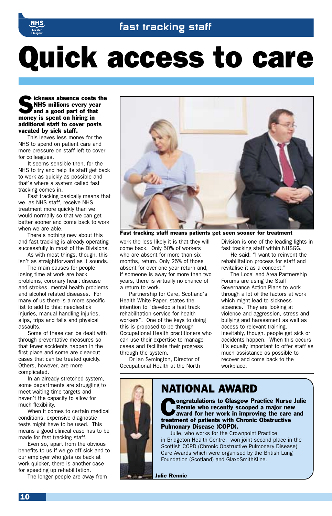

# Quick access to care

Sickness absence costs the<br>
NHS millions every year<br>
and a good part of that<br>
was used to be being in NHS millions every year and a good part of that money is spent on hiring in additional staff to cover posts vacated by sick staff.

This leaves less money for the NHS to spend on patient care and more pressure on staff left to cover for colleagues.

It seems sensible then, for the NHS to try and help its staff get back to work as quickly as possible and that's where a system called fast tracking comes in.

Fast tracking basically means that we, as NHS staff, receive NHS treatment more quickly than we would normally so that we can get better sooner and come back to work when we are able.

There's nothing new about this and fast tracking is already operating successfully in most of the Divisions.

As with most things, though, this isn't as straightforward as it sounds.

The main causes for people losing time at work are back problems, coronary heart disease and strokes, mental health problems and alcohol related diseases. For many of us there is a more specific list to add to this: needlestick injuries, manual handling injuries, slips, trips and falls and physical assaults.

Some of these can be dealt with through preventative measures so that fewer accidents happen in the first place and some are clear-cut cases that can be treated quickly. Others, however, are more complicated.

In an already stretched system, some departments are struggling to meet waiting time targets and haven't the capacity to allow for much flexibility.

When it comes to certain medical conditions, expensive diagnostic tests might have to be used. This means a good clinical case has to be made for fast tracking staff.

Even so, apart from the obvious benefits to us if we go off sick and to our employer who gets us back at work quicker, there is another case for speeding up rehabilitation.

The longer people are away from



Fast tracking staff means patients get seen sooner for treatment

work the less likely it is that they will come back. Only 50% of workers who are absent for more than six months, return. Only 25% of those absent for over one year return and, if someone is away for more than two years, there is virtually no chance of a return to work.

Partnership for Care, Scotland's Health White Paper, states the intention to "develop a fast track rehabilitation service for health workers". One of the keys to doing this is proposed to be through Occupational Health practitioners who can use their expertise to manage cases and facilitate their progress through the system.

Dr Ian Symington, Director of Occupational Health at the North Division is one of the leading lights in fast tracking staff within NHSGG. He said: "I want to reinvent the

rehabilitation process for staff and revitalise it as a concept.

The Local and Area Partnership Forums are using the Staff Governance Action Plans to work through a lot of the factors at work which might lead to sickness absence. They are looking at violence and aggression, stress and bullying and harassment as well as access to relevant training. Inevitably, though, people get sick or accidents happen. When this occurs it's equally important to offer staff as much assistance as possible to recover and come back to the workplace

## NATIONAL AWARD

**Congratulations to Glasgow Practice Nurse Julie<br>
Rennie who recently scooped a major new<br>
award for her work in improving the care and<br>
tractional of patients with Chronic Obstructive** Rennie who recently scooped a major new treatment of patients with Chronic Obstructive Pulmonary Disease (COPD).

Julie, who works for the Crownpoint Practice in Bridgeton Health Centre, won joint second place in the Scottish COPD (Chronic Obstructive Pulmonary Disease) Care Awards which were organised by the British Lung Foundation (Scotland) and GlaxoSmithKline.

Julie Rennie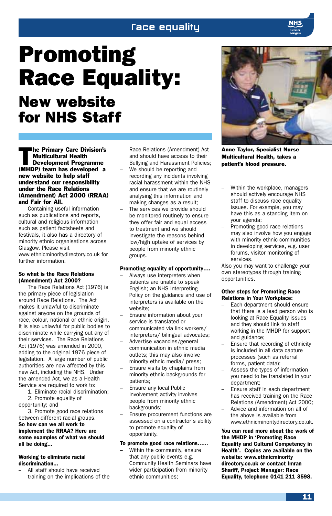## *<u>Face</u>* equality

## Promoting Race Equality: New website for NHS Staff

The Primary Care Division's<br>
Multicultural Health<br>
Development Programme Multicultural Health (MHDP) team has developed a new website to help staff understand our responsibility under the Race Relations (Amendment) Act 2000 (RRAA) and Fair for All.

Containing useful information such as publications and reports, cultural and religious information such as patient factsheets and festivals, it also has a directory of minority ethnic organisations across Glasgow. Please visit www.ethnicminoritydirectory.co.uk for further information.

#### So what is the Race Relations (Amendment) Act 2000?

The Race Relations Act (1976) is the primary piece of legislation around Race Relations. The Act makes it unlawful to discriminate against anyone on the grounds of race, colour, national or ethnic origin. It is also unlawful for public bodies to discriminate while carrying out any of their services. The Race Relations Act (1976) was amended in 2000, adding to the original 1976 piece of legislation. A large number of public authorities are now affected by this new Act, including the NHS. Under the amended Act, we as a Health Service are required to work to:

1. Eliminate racial discrimination; 2. Promote equality of

opportunity; and

3. Promote good race relations between different racial groups. So how can we all work to implement the RRAA? Here are some examples of what we should all be doing...

#### Working to eliminate racial discrimination...

– All staff should have received training on the implications of the Race Relations (Amendment) Act and should have access to their Bullying and Harassment Policies;

- We should be reporting and recording any incidents involving racial harassment within the NHS and ensure that we are routinely analysing this information and making changes as a result;
- The services we provide should be monitored routinely to ensure they offer fair and equal access to treatment and we should investigate the reasons behind low/high uptake of services by people from minority ethnic groups.

#### Promoting equality of opportunity….

- Always use interpreters when patients are unable to speak English; an NHS Interpreting Policy on the guidance and use of interpreters is available on the website;
- Ensure information about your service is translated or communicated via link workers/ interpreters/ bilingual advocates;
- Advertise vacancies/general communication in ethnic media outlets; this may also involve minority ethnic media/ press;
- Ensure visits by chaplains from minority ethnic backgrounds for patients;
- Ensure any local Public Involvement activity involves people from minority ethnic backgrounds;
- Ensure procurement functions are assessed on a contractor's ability to promote equality of opportunity.

#### To promote good race relations…...

– Within the community, ensure that any public events e.g. Community Health Seminars have wider participation from minority ethnic communities;



Anne Taylor, Specialist Nurse Multicultural Health, takes a patient's blood pressure.

- Within the workplace, managers should actively encourage NHS staff to discuss race equality issues. For example, you may have this as a standing item on your agenda;
- Promoting good race relations may also involve how you engage with minority ethnic communities in developing services, e.g. user forums, visitor monitoring of services.

Also you may want to challenge your own stereotypes through training opportunities.

#### Other steps for Promoting Race Relations in Your Workplace:

- Each department should ensure that there is a lead person who is looking at Race Equality issues and they should link to staff working in the MHDP for support and guidance;
- Ensure that recording of ethnicity is included in all data capture processes (such as referral forms, patient data);
- Assess the types of information you need to be translated in your department;
- Ensure staff in each department has received training on the Race Relations (Amendment) Act 2000;
- Advice and information on all of the above is available from www.ethnicminoritydirectory.co.uk.

You can read more about the work of the MHDP in 'Promoting Race Equality and Cultural Competency in Health'. Copies are available on the website: www.ethnicminority directory.co.uk or contact Imran Shariff, Project Manager: Race Equality, telephone 0141 211 3598.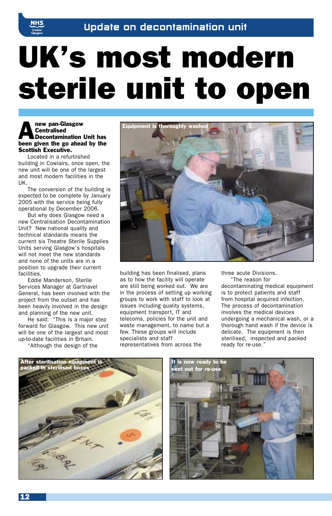

# UK's most modern sterile unit to open

## new pan-Glasgow<br>
Centralised<br>
Decontamination Unit has<br>
have given the shared by the **Centralised** been given the go ahead by the Scottish Executive.

Located in a refurbished building in Cowlairs, once open, the new unit will be one of the largest and most modern facilities in the UK.

The conversion of the building is expected to be complete by January 2005 with the service being fully operational by December 2006.

But why does Glasgow need a new Centralisation Decontamination Unit? New national quality and technical standards means the current six Theatre Sterile Supplies Units serving Glasgow's hospitals will not meet the new standards and none of the units are in a position to upgrade their current facilities.

Eddie Manderson, Sterile Services Manager at Gartnavel General, has been involved with the project from the outset and has been heavily involved in the design and planning of the new unit.

He said: "This is a major step forward for Glasgow. This new unit will be one of the largest and most up-to-date facilities in Britain. "Although the design of the

Equipment is thoroughly washed

building has been finalised, plans as to how the facility will operate are still being worked out. We are in the process of setting up working groups to work with staff to look at issues including quality systems, equipment transport, IT and telecoms, policies for the unit and waste management, to name but a few. These groups will include specialists and staff representatives from across the

three acute Divisions.

"The reason for decontaminating medical equipment is to protect patients and staff from hospital acquired infection. The process of decontamination involves the medical devices undergoing a mechanical wash, or a thorough hand wash if the device is delicate. The equipment is then sterilised, inspected and packed ready for re-use."



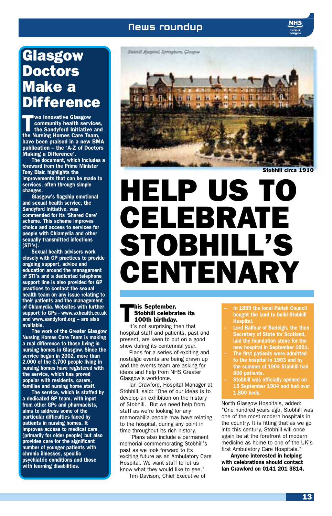## News roundup

## Glasgow Doctors Make a **Difference**

**The Sandyford Initiative Services,<br>
the Sandyford Initiative and<br>
the Nursing Homes Care Team** community health services, the Nursing Homes Care Team, have been praised in a new BMA publication – the 'A-Z of Doctors Making a Difference'.

The document, which includes a foreward from the Prime Minister Tony Blair, highlights the improvements that can be made to services, often through simple changes.

Glasgow's flagship emotional and sexual health service, the Sandyford Initiative, was commended for its 'Shared Care' scheme. This scheme improves choice and access to services for people with Chlamydia and other sexually transmitted infections (STI's).

Sexual health advisers work closely with GP practices to provide ongoing support, advice and education around the management of STI's and a dedicated telephone support line is also provided for GP practices to contact the sexual health team on any issue relating to their patients and the management of Chlamydia. Websites with further support to GPs - www.sxhealth.co.uk and www.sandyford.org – are also available.

The work of the Greater Glasgow Nursing Homes Care Team is making a real difference to those living in nursing homes in Glasgow. Since the service began in 2002, more than 2,000 of the 3,700 people living in nursing homes have registered with the service, which has proved popular with residents, carers, families and nursing home staff.

The service, which is staffed by a dedicated GP team, with input from other GPs and pharmacists, aims to address some of the particular difficulties faced by patients in nursing homes. It improves access to medical care (primarily for older people) but also provides care for the significant number of younger patients with chronic illnesses, specific psychiatric conditions and those with learning disabilities.



Stobhill circa 1910

# HELP US TO CELEBRATE STOBHILL'S CENTENARY

## **This September,<br>Stobhill celebrat**<br>100th birthday. Stobhill celebrates its

It's not surprising then that hospital staff and patients, past and present, are keen to put on a good show during its centennial year.

Plans for a series of exciting and nostalgic events are being drawn up and the events team are asking for ideas and help from NHS Greater Glasgow's workforce.

Ian Crawford, Hospital Manager at Stobhill, said: "One of our ideas is to develop an exhibition on the history of Stobhill. But we need help from staff as we're looking for any memorabilia people may have relating to the hospital, during any point in time throughout its rich history.

"Plans also include a permanent memorial commemorating Stobhill's past as we look forward to its exciting future as an Ambulatory Care Hospital. We want staff to let us know what they would like to see."

Tim Davison, Chief Executive of

- In 1899 the local Parish Council bought the land to build Stobhill Hospital.
- Lord Balfour of Burleigh, the then Secretary of State for Scotland, laid the foundation stone for the new hospital in September 1901.
- The first patients were admitted to the hospital in 1903 and by the summer of 1904 Stobhill had 800 patients.
- **Stobhill was officially opened on** 15 September 1904 and had over 1,800 beds.

North Glasgow Hospitals, added: "One hundred years ago, Stobhill was one of the most modern hospitals in the country. It is fitting that as we go into this century, Stobhill will once again be at the forefront of modern medicine as home to one of the UK's first Ambulatory Care Hospitals."

Anyone interested in helping with celebrations should contact Ian Crawford on 0141 201 3814.

13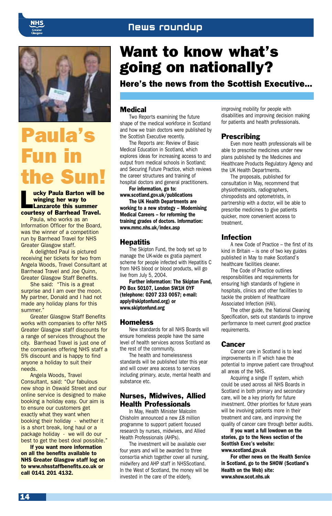## News roundup





## Paula's Fun in the Sun!

ucky Paula Barton will be winging her way to Lanzarote this summer courtesy of Barrhead Travel.

Paula, who works as an Information Officer for the Board, was the winner of a competition run by Barrhead Travel for NHS Greater Glasgow staff.

A delighted Paul is pictured receiving her tickets for two from Angela Woods, Travel Consultant at Barrhead Travel and Joe Quinn, Greater Glasgow Staff Benefits.

She said: "This is a great surprise and I am over the moon. My partner, Donald and I had not made any holiday plans for this summer."

Greater Glasgow Staff Benefits works with companies to offer NHS Greater Glasgow staff discounts for a range of services throughout the city. Barrhead Travel is just one of the companies offering NHS staff a 5% discount and is happy to find anyone a holiday to suit their needs.

Angela Woods, Travel Consultant, said: "Our fabulous new shop in Oswald Street and our online service is designed to make booking a holiday easy. Our aim is to ensure our customers get exactly what they want when booking their holiday - whether it is a short break, long haul or a package holiday - we will do our best to get the best deal possible."

If you want more information on all the benefits available to NHS Greater Glasgow staff log on to www.nhsstaffbenefits.co.uk or call 0141 201 4132.

## Want to know what's going on nationally?

Here's the news from the Scottish Executive...

### **Medical**

Two Reports examining the future shape of the medical workforce in Scotland and how we train doctors were published by the Scottish Executive recently.

The Reports are: Review of Basic Medical Education in Scotland, which explores ideas for increasing access to and output from medical schools in Scotland; and Securing Future Practice, which reviews the career structures and training of hospital doctors and general practitioners.

For information, go to: www.scotland.gov.uk/publications

The UK Health Departments are working to a new strategy – Modernising Medical Careers – for reforming the training grades of doctors. Information: www.mmc.nhs.uk/index.asp

#### **Hepatitis**

The Skipton Fund, the body set up to manage the UK-wide ex gratia payment scheme for people infected with Hepatitis C from NHS blood or blood products, will go live from July 5, 2004.

Further information: The Skipton Fund, PO Box 50107, London SW1H 0YF (telephone: 0207 233 0057; e-mail: apply@skiptonfund.org) or www.skiptonfund.org

#### **Homeless**

New standards for all NHS Boards will ensure homeless people have the same level of health services across Scotland as the rest of the community.

The health and homelessness standards will be published later this year and will cover area access to services including primary, acute, mental health and substance etc.

### Nurses, Midwives, Allied Health Professionals

In May, Health Minister Malcolm Chisholm announced a new £8 million programme to support patient focused research by nurses, midwives, and Allied Health Professionals (AHPs).

The investment will be available over four years and will be awarded to three consortia which together cover all nursing, midwifery and AHP staff in NHSScotland. In the West of Scotland, the money will be invested in the care of the elderly,

improving mobility for people with disabilities and improving decision making for patients and health professionals.

### **Prescribing**

Even more health professionals will be able to prescribe medicines under new plans published by the Medicines and Healthcare Products Regulatory Agency and the UK Health Departments.

The proposals, published for consultation in May, recommend that physiotherapists, radiographers, chiropodists and optometrists, in partnership with a doctor, will be able to prescribe medicines to give patients quicker, more convenient access to treatment.

#### Infection

A new Code of Practice – the first of its kind in Britain – is one of two key guides published in May to make Scotland's healthcare facilities cleaner.

The Code of Practice outlines responsibilities and requirements for ensuring high standards of hygiene in hospitals, clinics and other facilities to tackle the problem of Healthcare Associated Infection (HAI).

The other guide, the National Cleaning Specification, sets out standards to improve performance to meet current good practice requirements.

### **Cancer**

Cancer care in Scotland is to lead improvements in IT which have the potential to improve patient care throughout all areas of the NHS.

Acquiring a single IT system, which could be used across all NHS Boards in Scotland in both primary and secondary care, will be a key priority for future investment. Other priorities for future years will be involving patients more in their treatment and care, and improving the quality of cancer care through better audits.

If you want a full lowdown on the stories, go to the News section of the Scottish Exec's website: www.scotland.gov.uk

For other news on the Health Service in Scotland, go to the SHOW (Scotland's Health on the Web) site: www.show.scot.nhs.uk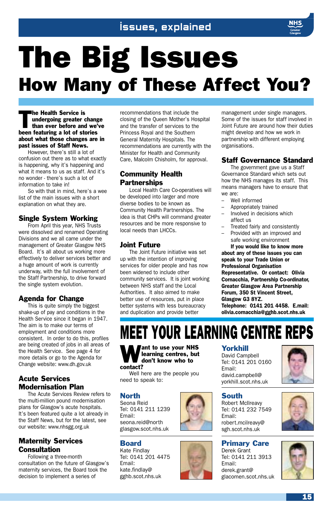## Issues, explained

# The Big Issues How Many of These Affect You?

The Health Service is<br>
undergoing greater<br>
than ever before and<br>
in the service of undergoing greater change than ever before and we've been featuring a lot of stories about what those changes are in past issues of Staff News.

However, there's still a lot of confusion out there as to what exactly is happening, why it's happening and what it means to us as staff. And it's no wonder - there's such a lot of information to take in!

So with that in mind, here's a wee list of the main issues with a short explanation on what they are.

## Single System Working

From April this year, NHS Trusts were dissolved and renamed Operating Divisions and we all came under the management of Greater Glasgow NHS Board. It's all about us working more effectively to deliver services better and a huge amount of work is currently underway, with the full involvement of the Staff Partnership, to drive forward the single system evolution.

## Agenda for Change

This is quite simply the biggest shake-up of pay and conditions in the Health Service since it began in 1947. The aim is to make our terms of employment and conditions more consistent. In order to do this, profiles are being created of jobs in all areas of the Health Service. See page 4 for more details or go to the Agenda for Change website: www.dh.gov.uk

## Acute Services Modernisation Plan

The Acute Services Review refers to the multi-million pound modernisation plans for Glasgow's acute hospitals. It's been featured quite a lot already in the Staff News, but for the latest, see our website: www.nhsgg.org.uk

## Maternity Services **Consultation**

Following a three-month consultation on the future of Glasgow's maternity services, the Board took the decision to implement a series of

recommendations that include the closing of the Queen Mother's Hospital and the transfer of services to the Princess Royal and the Southern General Maternity Hospitals. The recommendations are currently with the Minister for Health and Community Care, Malcolm Chisholm, for approval.

## Community Health **Partnerships**

Local Health Care Co-operatives will be developed into larger and more diverse bodies to be known as Community Health Partnerships. The idea is that CHPs will command greater resources and be more responsive to local needs than LHCCs.

## Joint Future

The Joint Future initiative was set up with the intention of improving services for older people and has now been widened to include other community services. It is joint working between NHS staff and the Local Authorities. It also aimed to make better use of resources, put in place better systems with less bureaucracy and duplication and provide better

management under single managers. Some of the issues for staff involved in Joint Future are around how their duties might develop and how we work in partnership with different employing organisations.

## Staff Governance Standard

The government gave us a Staff Governance Standard which sets out how the NHS manages its staff. This means managers have to ensure that we are:

- Well informed
- Appropriately trained
- Involved in decisions which affect us
- Treated fairly and consistently
- Provided with an improved and safe working environment If you would like to know more

about any of these issues you can speak to your Trade Union or Professional Organisation Representative. Or contact: Olivia Cornacchia, Partnership Co-ordinator, Greater Glasgow Area Partnership Forum, 350 St Vincent Street, Glasgow G3 8YZ. Telephone: 0141 201 4458. E.mail: olivia.cornacchia@gghb.scot.nhs.uk

## MEET YOUR LEARNING CENTRE REPS



**Want to use your NHS**<br>learning centres, but<br>don't know who to learning centres, but

#### Well here are the people you need to speak to:

## North

Seona Reid Tel: 0141 211 1239 Email: seona.reid@north glasgow.scot.nhs.uk

## Board

Kate Findlay Tel: 0141 201 4475 Email: kate.findlay@ gghb.scot.nhs.uk

## Yorkhill

David Campbell Tel: 0141 201 0160 Email: david.campbell@ yorkhill.scot.nhs.uk



South Robert McIlreavy Tel: 0141 232 7549 Email: robert.mcilreavy@ sgh.scot.nhs.uk

Primary Care Derek Grant Tel: 0141 211 3913 Email: derek.grant@ glacomen.scot.nhs.uk